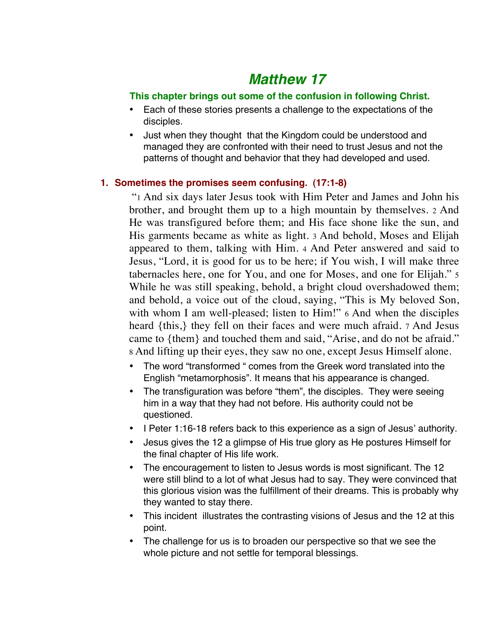# *Matthew 17*

## **This chapter brings out some of the confusion in following Christ.**

- Each of these stories presents a challenge to the expectations of the disciples.
- Just when they thought that the Kingdom could be understood and managed they are confronted with their need to trust Jesus and not the patterns of thought and behavior that they had developed and used.

## **1. Sometimes the promises seem confusing. (17:1-8)**

 "1 And six days later Jesus took with Him Peter and James and John his brother, and brought them up to a high mountain by themselves. 2 And He was transfigured before them; and His face shone like the sun, and His garments became as white as light. 3 And behold, Moses and Elijah appeared to them, talking with Him. 4 And Peter answered and said to Jesus, "Lord, it is good for us to be here; if You wish, I will make three tabernacles here, one for You, and one for Moses, and one for Elijah." 5 While he was still speaking, behold, a bright cloud overshadowed them; and behold, a voice out of the cloud, saying, "This is My beloved Son, with whom I am well-pleased; listen to Him!" 6 And when the disciples heard {this,} they fell on their faces and were much afraid. 7 And Jesus came to {them} and touched them and said, "Arise, and do not be afraid." 8 And lifting up their eyes, they saw no one, except Jesus Himself alone.

- The word "transformed " comes from the Greek word translated into the English "metamorphosis". It means that his appearance is changed.
- The transfiguration was before "them", the disciples. They were seeing him in a way that they had not before. His authority could not be questioned.
- I Peter 1:16-18 refers back to this experience as a sign of Jesus' authority.
- Jesus gives the 12 a glimpse of His true glory as He postures Himself for the final chapter of His life work.
- The encouragement to listen to Jesus words is most significant. The 12 were still blind to a lot of what Jesus had to say. They were convinced that this glorious vision was the fulfillment of their dreams. This is probably why they wanted to stay there.
- This incident illustrates the contrasting visions of Jesus and the 12 at this point.
- The challenge for us is to broaden our perspective so that we see the whole picture and not settle for temporal blessings.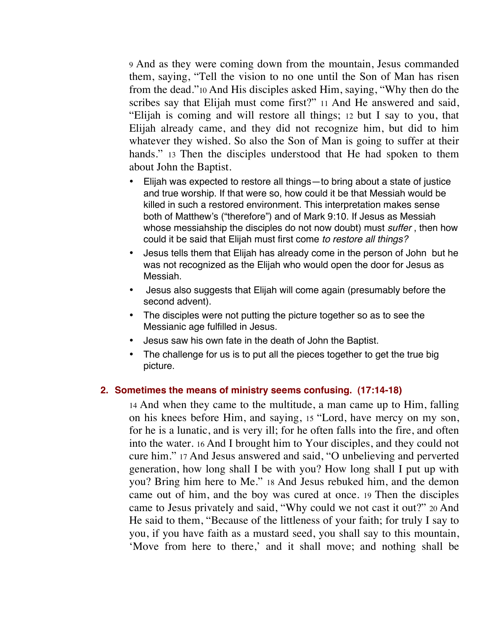9 And as they were coming down from the mountain, Jesus commanded them, saying, "Tell the vision to no one until the Son of Man has risen from the dead."10 And His disciples asked Him, saying, "Why then do the scribes say that Elijah must come first?" 11 And He answered and said, "Elijah is coming and will restore all things; 12 but I say to you, that Elijah already came, and they did not recognize him, but did to him whatever they wished. So also the Son of Man is going to suffer at their hands." 13 Then the disciples understood that He had spoken to them about John the Baptist.

- Elijah was expected to restore all things—to bring about a state of justice and true worship. If that were so, how could it be that Messiah would be killed in such a restored environment. This interpretation makes sense both of Matthew's ("therefore") and of Mark 9:10. If Jesus as Messiah whose messiahship the disciples do not now doubt) must *suffer* , then how could it be said that Elijah must first come *to restore all things?*
- Jesus tells them that Elijah has already come in the person of John but he was not recognized as the Elijah who would open the door for Jesus as Messiah.
- Jesus also suggests that Elijah will come again (presumably before the second advent).
- The disciples were not putting the picture together so as to see the Messianic age fulfilled in Jesus.
- Jesus saw his own fate in the death of John the Baptist.
- The challenge for us is to put all the pieces together to get the true big picture.

### **2. Sometimes the means of ministry seems confusing. (17:14-18)**

14 And when they came to the multitude, a man came up to Him, falling on his knees before Him, and saying, 15 "Lord, have mercy on my son, for he is a lunatic, and is very ill; for he often falls into the fire, and often into the water. 16 And I brought him to Your disciples, and they could not cure him." 17 And Jesus answered and said, "O unbelieving and perverted generation, how long shall I be with you? How long shall I put up with you? Bring him here to Me." 18 And Jesus rebuked him, and the demon came out of him, and the boy was cured at once. 19 Then the disciples came to Jesus privately and said, "Why could we not cast it out?" 20 And He said to them, "Because of the littleness of your faith; for truly I say to you, if you have faith as a mustard seed, you shall say to this mountain, 'Move from here to there,' and it shall move; and nothing shall be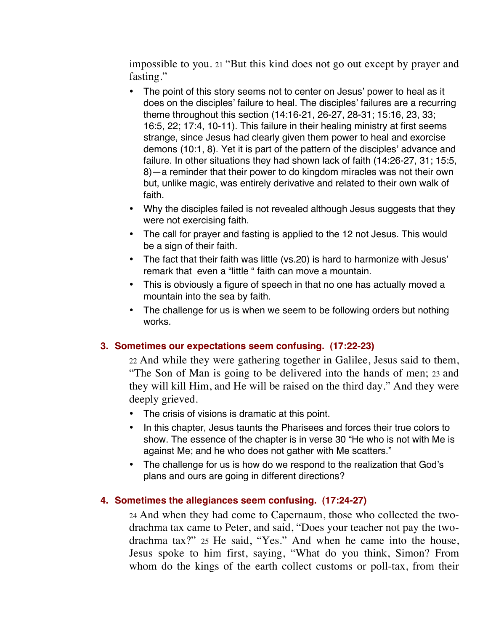impossible to you. 21 "But this kind does not go out except by prayer and fasting."

- The point of this story seems not to center on Jesus' power to heal as it does on the disciples' failure to heal. The disciples' failures are a recurring theme throughout this section (14:16-21, 26-27, 28-31; 15:16, 23, 33; 16:5, 22; 17:4, 10-11). This failure in their healing ministry at first seems strange, since Jesus had clearly given them power to heal and exorcise demons (10:1, 8). Yet it is part of the pattern of the disciples' advance and failure. In other situations they had shown lack of faith (14:26-27, 31; 15:5, 8)—a reminder that their power to do kingdom miracles was not their own but, unlike magic, was entirely derivative and related to their own walk of faith.
- Why the disciples failed is not revealed although Jesus suggests that they were not exercising faith.
- The call for prayer and fasting is applied to the 12 not Jesus. This would be a sign of their faith.
- The fact that their faith was little (vs.20) is hard to harmonize with Jesus' remark that even a "little " faith can move a mountain.
- This is obviously a figure of speech in that no one has actually moved a mountain into the sea by faith.
- The challenge for us is when we seem to be following orders but nothing works.

## **3. Sometimes our expectations seem confusing. (17:22-23)**

22 And while they were gathering together in Galilee, Jesus said to them, "The Son of Man is going to be delivered into the hands of men; 23 and they will kill Him, and He will be raised on the third day." And they were deeply grieved.

- The crisis of visions is dramatic at this point.
- In this chapter, Jesus taunts the Pharisees and forces their true colors to show. The essence of the chapter is in verse 30 "He who is not with Me is against Me; and he who does not gather with Me scatters."
- The challenge for us is how do we respond to the realization that God's plans and ours are going in different directions?

## **4. Sometimes the allegiances seem confusing. (17:24-27)**

24 And when they had come to Capernaum, those who collected the twodrachma tax came to Peter, and said, "Does your teacher not pay the twodrachma tax?" 25 He said, "Yes." And when he came into the house, Jesus spoke to him first, saying, "What do you think, Simon? From whom do the kings of the earth collect customs or poll-tax, from their